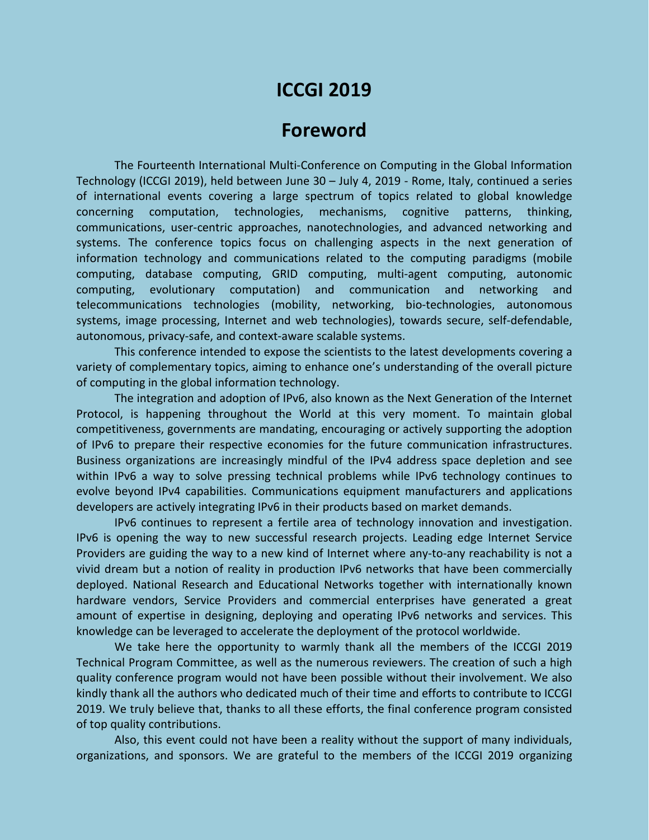# **ICCGI 2019**

## **Foreword**

The Fourteenth International Multi-Conference on Computing in the Global Information Technology (ICCGI 2019), held between June 30 – July 4, 2019 - Rome, Italy, continued a series of international events covering a large spectrum of topics related to global knowledge concerning computation, technologies, mechanisms, cognitive patterns, thinking, communications, user-centric approaches, nanotechnologies, and advanced networking and systems. The conference topics focus on challenging aspects in the next generation of information technology and communications related to the computing paradigms (mobile computing, database computing, GRID computing, multi-agent computing, autonomic computing, evolutionary computation) and communication and networking and telecommunications technologies (mobility, networking, bio-technologies, autonomous systems, image processing, Internet and web technologies), towards secure, self-defendable, autonomous, privacy-safe, and context-aware scalable systems.

This conference intended to expose the scientists to the latest developments covering a variety of complementary topics, aiming to enhance one's understanding of the overall picture of computing in the global information technology.

The integration and adoption of IPv6, also known as the Next Generation of the Internet Protocol, is happening throughout the World at this very moment. To maintain global competitiveness, governments are mandating, encouraging or actively supporting the adoption of IPv6 to prepare their respective economies for the future communication infrastructures. Business organizations are increasingly mindful of the IPv4 address space depletion and see within IPv6 a way to solve pressing technical problems while IPv6 technology continues to evolve beyond IPv4 capabilities. Communications equipment manufacturers and applications developers are actively integrating IPv6 in their products based on market demands.

IPv6 continues to represent a fertile area of technology innovation and investigation. IPv6 is opening the way to new successful research projects. Leading edge Internet Service Providers are guiding the way to a new kind of Internet where any-to-any reachability is not a vivid dream but a notion of reality in production IPv6 networks that have been commercially deployed. National Research and Educational Networks together with internationally known hardware vendors, Service Providers and commercial enterprises have generated a great amount of expertise in designing, deploying and operating IPv6 networks and services. This knowledge can be leveraged to accelerate the deployment of the protocol worldwide.

We take here the opportunity to warmly thank all the members of the ICCGI 2019 Technical Program Committee, as well as the numerous reviewers. The creation of such a high quality conference program would not have been possible without their involvement. We also kindly thank all the authors who dedicated much of their time and efforts to contribute to ICCGI 2019. We truly believe that, thanks to all these efforts, the final conference program consisted of top quality contributions.

Also, this event could not have been a reality without the support of many individuals, organizations, and sponsors. We are grateful to the members of the ICCGI 2019 organizing